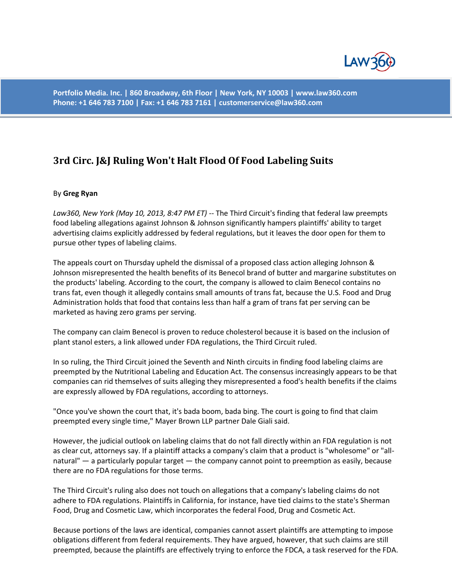

**Portfolio Media. Inc. | 860 Broadway, 6th Floor | New York, NY 10003 | www.law360.com Phone: +1 646 783 7100 | Fax: +1 646 783 7161 | customerservice@law360.com**

## **3rd Circ. J&J Ruling Won't Halt Flood Of Food Labeling Suits**

## By **Greg Ryan**

*Law360, New York (May 10, 2013, 8:47 PM ET)* -- The Third Circuit's finding that federal law preempts food labeling allegations against Johnson & Johnson significantly hampers plaintiffs' ability to target advertising claims explicitly addressed by federal regulations, but it leaves the door open for them to pursue other types of labeling claims.

The appeals court on Thursday upheld the dismissal of a proposed class action alleging Johnson & Johnson misrepresented the health benefits of its Benecol brand of butter and margarine substitutes on the products' labeling. According to the court, the company is allowed to claim Benecol contains no trans fat, even though it allegedly contains small amounts of trans fat, because the U.S. Food and Drug Administration holds that food that contains less than half a gram of trans fat per serving can be marketed as having zero grams per serving.

The company can claim Benecol is proven to reduce cholesterol because it is based on the inclusion of plant stanol esters, a link allowed under FDA regulations, the Third Circuit ruled.

In so ruling, the Third Circuit joined the Seventh and Ninth circuits in finding food labeling claims are preempted by the Nutritional Labeling and Education Act. The consensus increasingly appears to be that companies can rid themselves of suits alleging they misrepresented a food's health benefits if the claims are expressly allowed by FDA regulations, according to attorneys.

"Once you've shown the court that, it's bada boom, bada bing. The court is going to find that claim preempted every single time," Mayer Brown LLP partner Dale Giali said.

However, the judicial outlook on labeling claims that do not fall directly within an FDA regulation is not as clear cut, attorneys say. If a plaintiff attacks a company's claim that a product is "wholesome" or "allnatural" — a particularly popular target — the company cannot point to preemption as easily, because there are no FDA regulations for those terms.

The Third Circuit's ruling also does not touch on allegations that a company's labeling claims do not adhere to FDA regulations. Plaintiffs in California, for instance, have tied claims to the state's Sherman Food, Drug and Cosmetic Law, which incorporates the federal Food, Drug and Cosmetic Act.

Because portions of the laws are identical, companies cannot assert plaintiffs are attempting to impose obligations different from federal requirements. They have argued, however, that such claims are still preempted, because the plaintiffs are effectively trying to enforce the FDCA, a task reserved for the FDA.